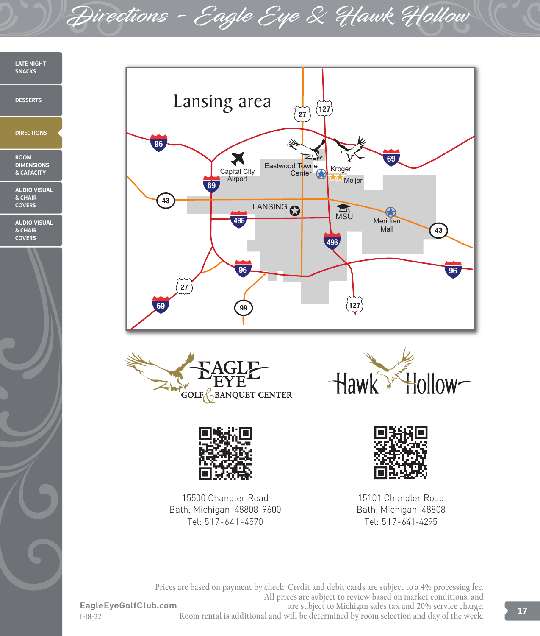Directions - Eagle Eye & Hawk Hollow

**LATE NIGHT SNACKS DESSERTS DIRECTIONS ROOM DIMENSIONS & CAPACITY AUDIO VISUAL & CHAIR COVERS AUDIO VISUAL & CHAIR COVERS**







15500 Chandler Road Bath, Michigan 48808-9600 Tel: 517-641-4570





15101 Chandler Road Bath, Michigan 48808 Tel: 517-641-4295

**Prices are based on payment by check. Credit and debit cards are subject to a 4% processing fee. All prices are subject to review based on market conditions, and are subject to Michigan sales tax and 20% service charge. Room rental is additional and will be determined by room selection and day of the week.**